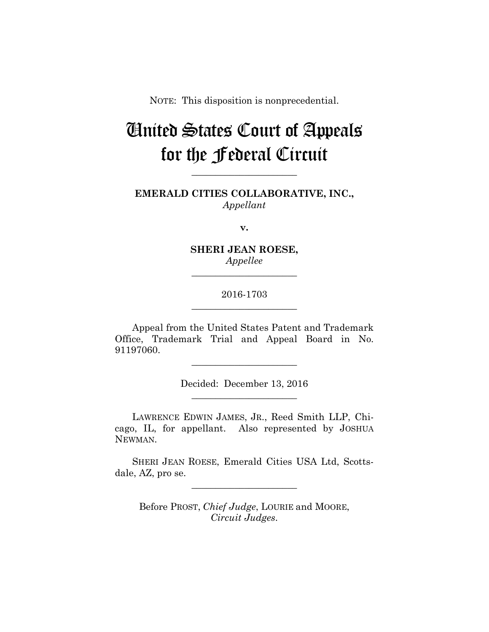NOTE: This disposition is nonprecedential.

# United States Court of Appeals for the Federal Circuit

**EMERALD CITIES COLLABORATIVE, INC.,** *Appellant*

**\_\_\_\_\_\_\_\_\_\_\_\_\_\_\_\_\_\_\_\_\_\_** 

**v.**

**SHERI JEAN ROESE,** *Appellee*

**\_\_\_\_\_\_\_\_\_\_\_\_\_\_\_\_\_\_\_\_\_\_** 

## 2016-1703 **\_\_\_\_\_\_\_\_\_\_\_\_\_\_\_\_\_\_\_\_\_\_**

Appeal from the United States Patent and Trademark Office, Trademark Trial and Appeal Board in No. 91197060.

> Decided: December 13, 2016 **\_\_\_\_\_\_\_\_\_\_\_\_\_\_\_\_\_\_\_\_\_\_**

**\_\_\_\_\_\_\_\_\_\_\_\_\_\_\_\_\_\_\_\_\_\_** 

LAWRENCE EDWIN JAMES, JR., Reed Smith LLP, Chicago, IL, for appellant. Also represented by JOSHUA NEWMAN.

SHERI JEAN ROESE, Emerald Cities USA Ltd, Scottsdale, AZ, pro se.

**\_\_\_\_\_\_\_\_\_\_\_\_\_\_\_\_\_\_\_\_\_\_** 

Before PROST, *Chief Judge*, LOURIE and MOORE, *Circuit Judges*.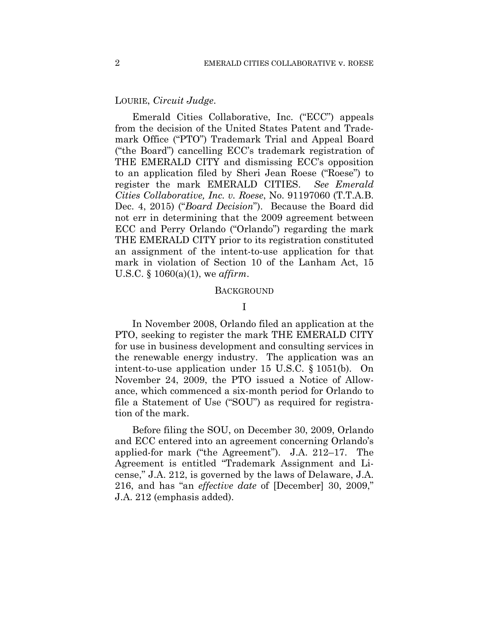### LOURIE, *Circuit Judge*.

Emerald Cities Collaborative, Inc. ("ECC") appeals from the decision of the United States Patent and Trademark Office ("PTO") Trademark Trial and Appeal Board ("the Board") cancelling ECC's trademark registration of THE EMERALD CITY and dismissing ECC's opposition to an application filed by Sheri Jean Roese ("Roese") to register the mark EMERALD CITIES. *See Emerald Cities Collaborative, Inc. v. Roese*, No. 91197060 (T.T.A.B. Dec. 4, 2015) ("*Board Decision*"). Because the Board did not err in determining that the 2009 agreement between ECC and Perry Orlando ("Orlando") regarding the mark THE EMERALD CITY prior to its registration constituted an assignment of the intent-to-use application for that mark in violation of Section 10 of the Lanham Act, 15 U.S.C. § 1060(a)(1), we *affirm*.

#### BACKGROUND

## I

In November 2008, Orlando filed an application at the PTO, seeking to register the mark THE EMERALD CITY for use in business development and consulting services in the renewable energy industry. The application was an intent-to-use application under 15 U.S.C. § 1051(b). On November 24, 2009, the PTO issued a Notice of Allowance, which commenced a six-month period for Orlando to file a Statement of Use ("SOU") as required for registration of the mark.

Before filing the SOU, on December 30, 2009, Orlando and ECC entered into an agreement concerning Orlando's applied-for mark ("the Agreement"). J.A. 212–17. The Agreement is entitled "Trademark Assignment and License," J.A. 212, is governed by the laws of Delaware, J.A. 216, and has "an *effective date* of [December] 30, 2009," J.A. 212 (emphasis added).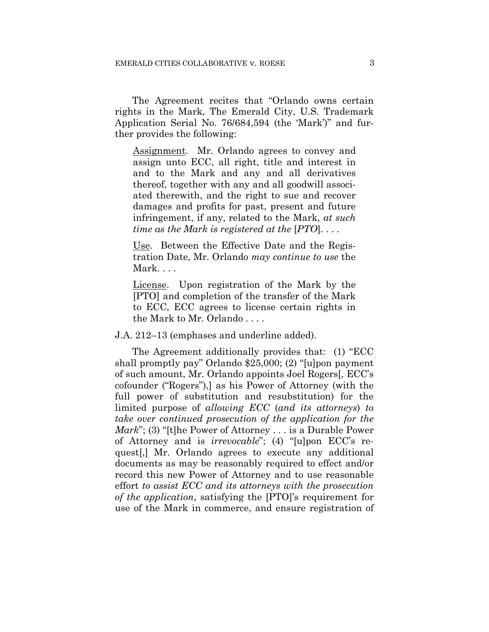The Agreement recites that "Orlando owns certain rights in the Mark, The Emerald City, U.S. Trademark Application Serial No. 76/684,594 (the 'Mark')" and further provides the following:

Assignment. Mr. Orlando agrees to convey and assign unto ECC, all right, title and interest in and to the Mark and any and all derivatives thereof, together with any and all goodwill associated therewith, and the right to sue and recover damages and profits for past, present and future infringement, if any, related to the Mark, *at such time as the Mark is registered at the* [*PTO*]. . . .

Use. Between the Effective Date and the Registration Date, Mr. Orlando *may continue to use* the Mark. . . .

License. Upon registration of the Mark by the [PTO] and completion of the transfer of the Mark to ECC, ECC agrees to license certain rights in the Mark to Mr. Orlando . . . .

J.A. 212–13 (emphases and underline added).

The Agreement additionally provides that: (1) "ECC shall promptly pay" Orlando \$25,000; (2) "[u]pon payment of such amount, Mr. Orlando appoints Joel Rogers[, ECC's cofounder ("Rogers"),] as his Power of Attorney (with the full power of substitution and resubstitution) for the limited purpose of *allowing ECC* (*and its attorneys*) *to take over continued prosecution of the application for the Mark*"; (3) "[t]he Power of Attorney . . . is a Durable Power of Attorney and is *irrevocable*"; (4) "[u]pon ECC's request[,] Mr. Orlando agrees to execute any additional documents as may be reasonably required to effect and/or record this new Power of Attorney and to use reasonable effort *to assist ECC and its attorneys with the prosecution of the application*, satisfying the [PTO]'s requirement for use of the Mark in commerce, and ensure registration of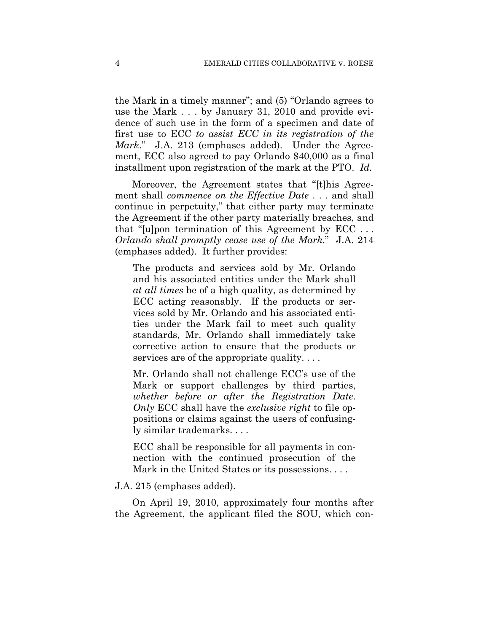the Mark in a timely manner"; and (5) "Orlando agrees to use the Mark . . . by January 31, 2010 and provide evidence of such use in the form of a specimen and date of first use to ECC *to assist ECC in its registration of the Mark*." J.A. 213 (emphases added). Under the Agreement, ECC also agreed to pay Orlando \$40,000 as a final installment upon registration of the mark at the PTO. *Id.*

Moreover, the Agreement states that "[t]his Agreement shall *commence on the Effective Date* . . . and shall continue in perpetuity," that either party may terminate the Agreement if the other party materially breaches, and that "[u]pon termination of this Agreement by ECC . . . *Orlando shall promptly cease use of the Mark*." J.A. 214 (emphases added). It further provides:

The products and services sold by Mr. Orlando and his associated entities under the Mark shall *at all times* be of a high quality, as determined by ECC acting reasonably. If the products or services sold by Mr. Orlando and his associated entities under the Mark fail to meet such quality standards, Mr. Orlando shall immediately take corrective action to ensure that the products or services are of the appropriate quality. . . .

Mr. Orlando shall not challenge ECC's use of the Mark or support challenges by third parties, *whether before or after the Registration Date*. *Only* ECC shall have the *exclusive right* to file oppositions or claims against the users of confusingly similar trademarks. . . .

ECC shall be responsible for all payments in connection with the continued prosecution of the Mark in the United States or its possessions. . . .

#### J.A. 215 (emphases added).

On April 19, 2010, approximately four months after the Agreement, the applicant filed the SOU, which con-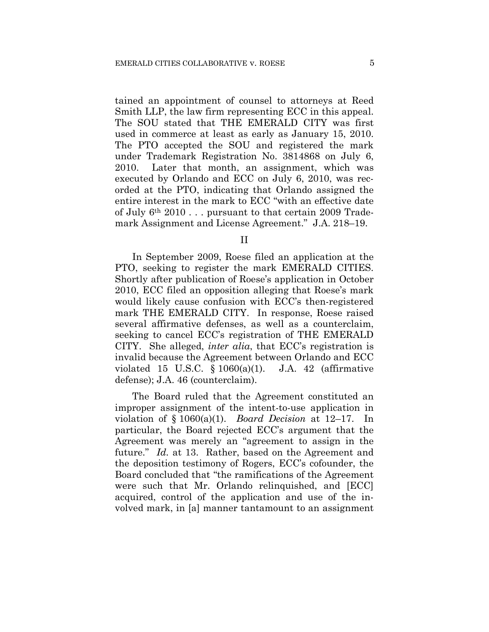tained an appointment of counsel to attorneys at Reed Smith LLP, the law firm representing ECC in this appeal. The SOU stated that THE EMERALD CITY was first used in commerce at least as early as January 15, 2010. The PTO accepted the SOU and registered the mark under Trademark Registration No. 3814868 on July 6, 2010. Later that month, an assignment, which was executed by Orlando and ECC on July 6, 2010, was recorded at the PTO, indicating that Orlando assigned the entire interest in the mark to ECC "with an effective date of July 6th 2010 . . . pursuant to that certain 2009 Trademark Assignment and License Agreement." J.A. 218–19.

II

In September 2009, Roese filed an application at the PTO, seeking to register the mark EMERALD CITIES. Shortly after publication of Roese's application in October 2010, ECC filed an opposition alleging that Roese's mark would likely cause confusion with ECC's then-registered mark THE EMERALD CITY. In response, Roese raised several affirmative defenses, as well as a counterclaim, seeking to cancel ECC's registration of THE EMERALD CITY. She alleged, *inter alia*, that ECC's registration is invalid because the Agreement between Orlando and ECC violated 15 U.S.C.  $\S$  1060(a)(1). J.A. 42 (affirmative defense); J.A. 46 (counterclaim).

The Board ruled that the Agreement constituted an improper assignment of the intent-to-use application in violation of § 1060(a)(1). *Board Decision* at 12–17. In particular, the Board rejected ECC's argument that the Agreement was merely an "agreement to assign in the future." *Id.* at 13. Rather, based on the Agreement and the deposition testimony of Rogers, ECC's cofounder, the Board concluded that "the ramifications of the Agreement were such that Mr. Orlando relinquished, and [ECC] acquired, control of the application and use of the involved mark, in [a] manner tantamount to an assignment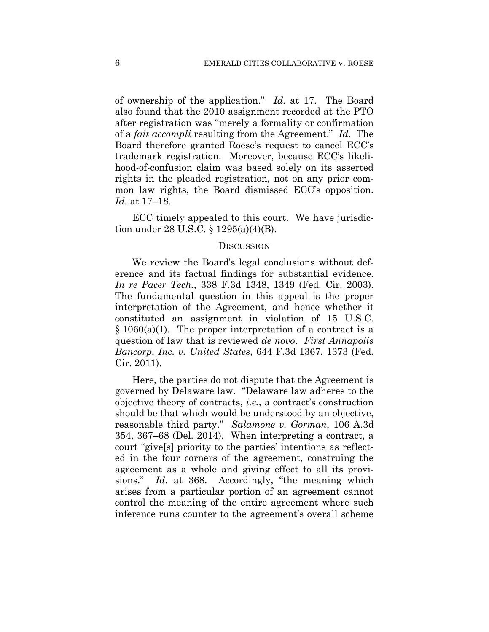of ownership of the application." *Id.* at 17. The Board also found that the 2010 assignment recorded at the PTO after registration was "merely a formality or confirmation of a *fait accompli* resulting from the Agreement." *Id.* The Board therefore granted Roese's request to cancel ECC's trademark registration. Moreover, because ECC's likelihood-of-confusion claim was based solely on its asserted rights in the pleaded registration, not on any prior common law rights, the Board dismissed ECC's opposition. *Id.* at 17–18.

ECC timely appealed to this court. We have jurisdiction under 28 U.S.C. § 1295(a)(4)(B).

## **DISCUSSION**

We review the Board's legal conclusions without deference and its factual findings for substantial evidence. *In re Pacer Tech.*, 338 F.3d 1348, 1349 (Fed. Cir. 2003). The fundamental question in this appeal is the proper interpretation of the Agreement, and hence whether it constituted an assignment in violation of 15 U.S.C.  $§ 1060(a)(1)$ . The proper interpretation of a contract is a question of law that is reviewed *de novo*. *First Annapolis Bancorp, Inc. v. United States*, 644 F.3d 1367, 1373 (Fed. Cir. 2011).

Here, the parties do not dispute that the Agreement is governed by Delaware law. "Delaware law adheres to the objective theory of contracts, *i.e.*, a contract's construction should be that which would be understood by an objective, reasonable third party." *Salamone v. Gorman*, 106 A.3d 354, 367–68 (Del. 2014). When interpreting a contract, a court "give[s] priority to the parties' intentions as reflected in the four corners of the agreement, construing the agreement as a whole and giving effect to all its provisions." *Id.* at 368. Accordingly, "the meaning which arises from a particular portion of an agreement cannot control the meaning of the entire agreement where such inference runs counter to the agreement's overall scheme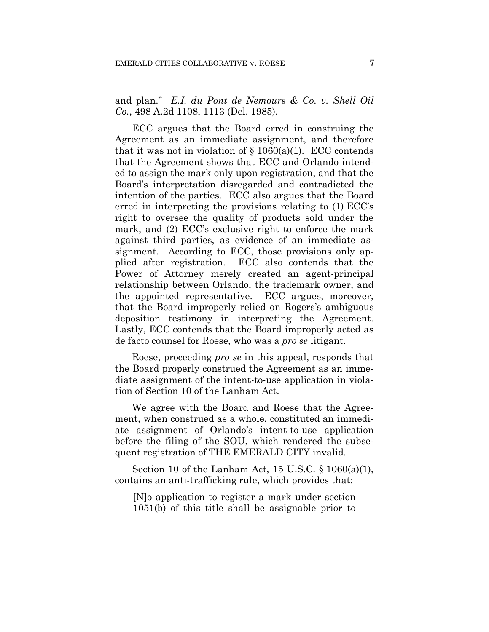and plan." *E.I. du Pont de Nemours & Co. v. Shell Oil Co.*, 498 A.2d 1108, 1113 (Del. 1985).

ECC argues that the Board erred in construing the Agreement as an immediate assignment, and therefore that it was not in violation of  $\S 1060(a)(1)$ . ECC contends that the Agreement shows that ECC and Orlando intended to assign the mark only upon registration, and that the Board's interpretation disregarded and contradicted the intention of the parties. ECC also argues that the Board erred in interpreting the provisions relating to (1) ECC's right to oversee the quality of products sold under the mark, and (2) ECC's exclusive right to enforce the mark against third parties, as evidence of an immediate assignment. According to ECC, those provisions only applied after registration. ECC also contends that the Power of Attorney merely created an agent-principal relationship between Orlando, the trademark owner, and the appointed representative. ECC argues, moreover, that the Board improperly relied on Rogers's ambiguous deposition testimony in interpreting the Agreement. Lastly, ECC contends that the Board improperly acted as de facto counsel for Roese, who was a *pro se* litigant.

Roese, proceeding *pro se* in this appeal, responds that the Board properly construed the Agreement as an immediate assignment of the intent-to-use application in violation of Section 10 of the Lanham Act.

We agree with the Board and Roese that the Agreement, when construed as a whole, constituted an immediate assignment of Orlando's intent-to-use application before the filing of the SOU, which rendered the subsequent registration of THE EMERALD CITY invalid.

Section 10 of the Lanham Act, 15 U.S.C. § 1060(a)(1), contains an anti-trafficking rule, which provides that:

[N]o application to register a mark under section 1051(b) of this title shall be assignable prior to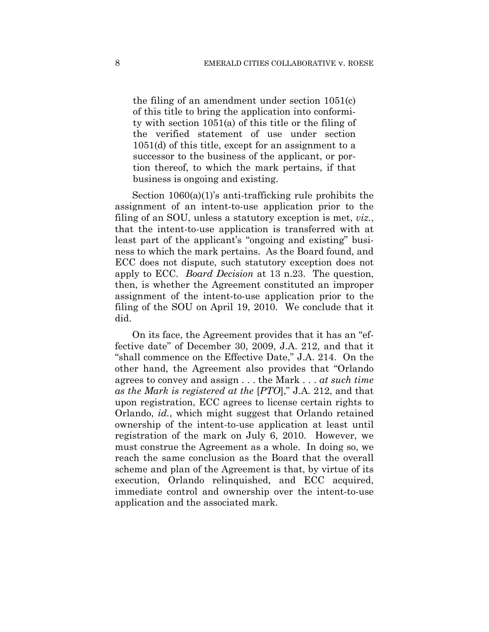the filing of an amendment under section 1051(c) of this title to bring the application into conformity with section 1051(a) of this title or the filing of the verified statement of use under section 1051(d) of this title, except for an assignment to a successor to the business of the applicant, or portion thereof, to which the mark pertains, if that business is ongoing and existing.

Section 1060(a)(1)'s anti-trafficking rule prohibits the assignment of an intent-to-use application prior to the filing of an SOU, unless a statutory exception is met, *viz.*, that the intent-to-use application is transferred with at least part of the applicant's "ongoing and existing" business to which the mark pertains. As the Board found, and ECC does not dispute, such statutory exception does not apply to ECC. *Board Decision* at 13 n.23. The question, then, is whether the Agreement constituted an improper assignment of the intent-to-use application prior to the filing of the SOU on April 19, 2010. We conclude that it did.

On its face, the Agreement provides that it has an "effective date" of December 30, 2009, J.A. 212, and that it "shall commence on the Effective Date," J.A. 214. On the other hand, the Agreement also provides that "Orlando agrees to convey and assign . . . the Mark . . . *at such time as the Mark is registered at the* [*PTO*]," J.A. 212, and that upon registration, ECC agrees to license certain rights to Orlando, *id.*, which might suggest that Orlando retained ownership of the intent-to-use application at least until registration of the mark on July 6, 2010. However, we must construe the Agreement as a whole. In doing so, we reach the same conclusion as the Board that the overall scheme and plan of the Agreement is that, by virtue of its execution, Orlando relinquished, and ECC acquired, immediate control and ownership over the intent-to-use application and the associated mark.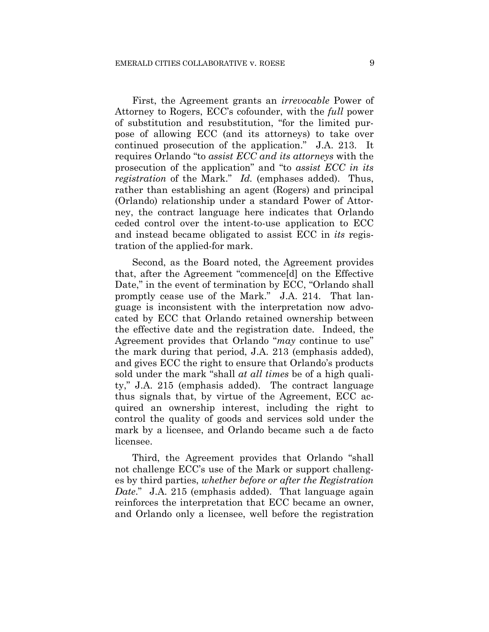First, the Agreement grants an *irrevocable* Power of Attorney to Rogers, ECC's cofounder, with the *full* power of substitution and resubstitution, "for the limited purpose of allowing ECC (and its attorneys) to take over continued prosecution of the application." J.A. 213. It requires Orlando "to *assist ECC and its attorneys* with the prosecution of the application" and "to *assist ECC in its registration* of the Mark." *Id.* (emphases added). Thus, rather than establishing an agent (Rogers) and principal (Orlando) relationship under a standard Power of Attorney, the contract language here indicates that Orlando ceded control over the intent-to-use application to ECC and instead became obligated to assist ECC in *its* registration of the applied-for mark.

Second, as the Board noted, the Agreement provides that, after the Agreement "commence[d] on the Effective Date," in the event of termination by ECC, "Orlando shall promptly cease use of the Mark." J.A. 214. That language is inconsistent with the interpretation now advocated by ECC that Orlando retained ownership between the effective date and the registration date. Indeed, the Agreement provides that Orlando "*may* continue to use" the mark during that period, J.A. 213 (emphasis added), and gives ECC the right to ensure that Orlando's products sold under the mark "shall *at all times* be of a high quality," J.A. 215 (emphasis added). The contract language thus signals that, by virtue of the Agreement, ECC acquired an ownership interest, including the right to control the quality of goods and services sold under the mark by a licensee, and Orlando became such a de facto licensee.

Third, the Agreement provides that Orlando "shall not challenge ECC's use of the Mark or support challenges by third parties, *whether before or after the Registration Date.*" J.A. 215 (emphasis added). That language again reinforces the interpretation that ECC became an owner, and Orlando only a licensee, well before the registration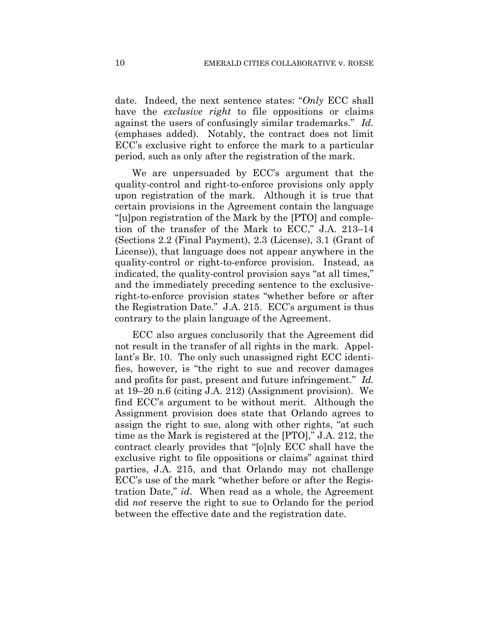date. Indeed, the next sentence states: "*Only* ECC shall have the *exclusive right* to file oppositions or claims against the users of confusingly similar trademarks." *Id.* (emphases added). Notably, the contract does not limit ECC's exclusive right to enforce the mark to a particular period, such as only after the registration of the mark.

We are unpersuaded by ECC's argument that the quality-control and right-to-enforce provisions only apply upon registration of the mark. Although it is true that certain provisions in the Agreement contain the language "[u]pon registration of the Mark by the [PTO] and completion of the transfer of the Mark to ECC," J.A. 213–14 (Sections 2.2 (Final Payment), 2.3 (License), 3.1 (Grant of License)), that language does not appear anywhere in the quality-control or right-to-enforce provision. Instead, as indicated, the quality-control provision says "at all times," and the immediately preceding sentence to the exclusiveright-to-enforce provision states "whether before or after the Registration Date." J.A. 215. ECC's argument is thus contrary to the plain language of the Agreement.

ECC also argues conclusorily that the Agreement did not result in the transfer of all rights in the mark. Appellant's Br. 10. The only such unassigned right ECC identifies, however, is "the right to sue and recover damages and profits for past, present and future infringement." *Id.* at 19–20 n.6 (citing J.A. 212) (Assignment provision). We find ECC's argument to be without merit. Although the Assignment provision does state that Orlando agrees to assign the right to sue, along with other rights, "at such time as the Mark is registered at the [PTO]," J.A. 212, the contract clearly provides that "[o]nly ECC shall have the exclusive right to file oppositions or claims" against third parties, J.A. 215, and that Orlando may not challenge ECC's use of the mark "whether before or after the Registration Date," *id*. When read as a whole, the Agreement did *not* reserve the right to sue to Orlando for the period between the effective date and the registration date.